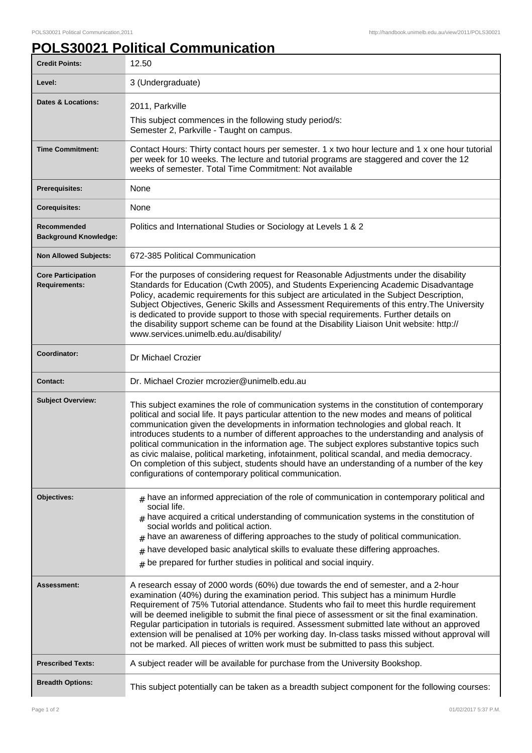## **POLS30021 Political Communication**

| <b>Credit Points:</b>                             | 12.50                                                                                                                                                                                                                                                                                                                                                                                                                                                                                                                                                                                                                                                                                                                                             |
|---------------------------------------------------|---------------------------------------------------------------------------------------------------------------------------------------------------------------------------------------------------------------------------------------------------------------------------------------------------------------------------------------------------------------------------------------------------------------------------------------------------------------------------------------------------------------------------------------------------------------------------------------------------------------------------------------------------------------------------------------------------------------------------------------------------|
| Level:                                            | 3 (Undergraduate)                                                                                                                                                                                                                                                                                                                                                                                                                                                                                                                                                                                                                                                                                                                                 |
| <b>Dates &amp; Locations:</b>                     | 2011, Parkville                                                                                                                                                                                                                                                                                                                                                                                                                                                                                                                                                                                                                                                                                                                                   |
|                                                   | This subject commences in the following study period/s:<br>Semester 2, Parkville - Taught on campus.                                                                                                                                                                                                                                                                                                                                                                                                                                                                                                                                                                                                                                              |
| <b>Time Commitment:</b>                           | Contact Hours: Thirty contact hours per semester. 1 x two hour lecture and 1 x one hour tutorial<br>per week for 10 weeks. The lecture and tutorial programs are staggered and cover the 12<br>weeks of semester. Total Time Commitment: Not available                                                                                                                                                                                                                                                                                                                                                                                                                                                                                            |
| Prerequisites:                                    | None                                                                                                                                                                                                                                                                                                                                                                                                                                                                                                                                                                                                                                                                                                                                              |
| <b>Corequisites:</b>                              | None                                                                                                                                                                                                                                                                                                                                                                                                                                                                                                                                                                                                                                                                                                                                              |
| Recommended<br><b>Background Knowledge:</b>       | Politics and International Studies or Sociology at Levels 1 & 2                                                                                                                                                                                                                                                                                                                                                                                                                                                                                                                                                                                                                                                                                   |
| <b>Non Allowed Subjects:</b>                      | 672-385 Political Communication                                                                                                                                                                                                                                                                                                                                                                                                                                                                                                                                                                                                                                                                                                                   |
| <b>Core Participation</b><br><b>Requirements:</b> | For the purposes of considering request for Reasonable Adjustments under the disability<br>Standards for Education (Cwth 2005), and Students Experiencing Academic Disadvantage<br>Policy, academic requirements for this subject are articulated in the Subject Description,<br>Subject Objectives, Generic Skills and Assessment Requirements of this entry. The University<br>is dedicated to provide support to those with special requirements. Further details on<br>the disability support scheme can be found at the Disability Liaison Unit website: http://<br>www.services.unimelb.edu.au/disability/                                                                                                                                  |
| Coordinator:                                      | Dr Michael Crozier                                                                                                                                                                                                                                                                                                                                                                                                                                                                                                                                                                                                                                                                                                                                |
| <b>Contact:</b>                                   | Dr. Michael Crozier mcrozier@unimelb.edu.au                                                                                                                                                                                                                                                                                                                                                                                                                                                                                                                                                                                                                                                                                                       |
| <b>Subject Overview:</b>                          | This subject examines the role of communication systems in the constitution of contemporary<br>political and social life. It pays particular attention to the new modes and means of political<br>communication given the developments in information technologies and global reach. It<br>introduces students to a number of different approaches to the understanding and analysis of<br>political communication in the information age. The subject explores substantive topics such<br>as civic malaise, political marketing, infotainment, political scandal, and media democracy.<br>On completion of this subject, students should have an understanding of a number of the key<br>configurations of contemporary political communication. |
| <b>Objectives:</b>                                | $#$ have an informed appreciation of the role of communication in contemporary political and<br>social life.<br>$_{\text{\#}}$ have acquired a critical understanding of communication systems in the constitution of<br>social worlds and political action.<br>have an awareness of differing approaches to the study of political communication.<br>#<br>have developed basic analytical skills to evaluate these differing approaches.<br>$\pm$<br>$#$ be prepared for further studies in political and social inquiry.                                                                                                                                                                                                                        |
| Assessment:                                       | A research essay of 2000 words (60%) due towards the end of semester, and a 2-hour<br>examination (40%) during the examination period. This subject has a minimum Hurdle<br>Requirement of 75% Tutorial attendance. Students who fail to meet this hurdle requirement<br>will be deemed ineligible to submit the final piece of assessment or sit the final examination.<br>Regular participation in tutorials is required. Assessment submitted late without an approved<br>extension will be penalised at 10% per working day. In-class tasks missed without approval will<br>not be marked. All pieces of written work must be submitted to pass this subject.                                                                                 |
| <b>Prescribed Texts:</b>                          | A subject reader will be available for purchase from the University Bookshop.                                                                                                                                                                                                                                                                                                                                                                                                                                                                                                                                                                                                                                                                     |
| <b>Breadth Options:</b>                           | This subject potentially can be taken as a breadth subject component for the following courses:                                                                                                                                                                                                                                                                                                                                                                                                                                                                                                                                                                                                                                                   |